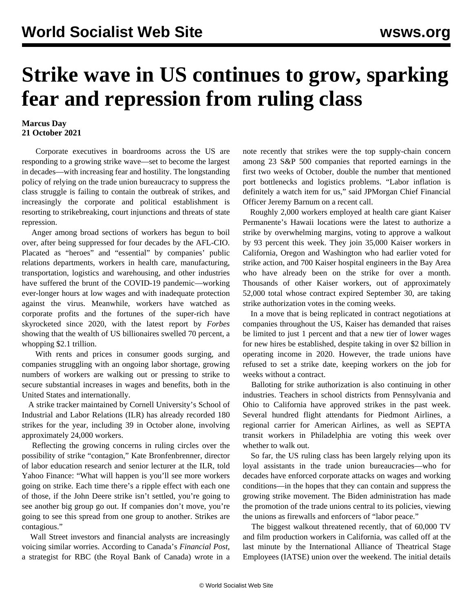## **Strike wave in US continues to grow, sparking fear and repression from ruling class**

## **Marcus Day 21 October 2021**

 Corporate executives in boardrooms across the US are responding to a growing strike wave—set to become the largest in decades—with increasing fear and hostility. The longstanding policy of relying on the trade union bureaucracy to suppress the class struggle is failing to contain the outbreak of strikes, and increasingly the corporate and political establishment is resorting to strikebreaking, court injunctions and threats of state repression.

 Anger among broad sections of workers has begun to boil over, after being suppressed for four decades by the AFL-CIO. Placated as "heroes" and "essential" by companies' public relations departments, workers in health care, manufacturing, transportation, logistics and warehousing, and other industries have suffered the brunt of the COVID-19 pandemic—working ever-longer hours at low wages and with inadequate protection against the virus. Meanwhile, workers have watched as corporate profits and the fortunes of the super-rich have skyrocketed since 2020, with the latest report by *Forbes* showing that the wealth of US billionaires swelled 70 percent, a whopping \$2.1 trillion.

 With rents and prices in consumer goods surging, and companies struggling with an ongoing labor shortage, growing numbers of workers are walking out or pressing to strike to secure substantial increases in wages and benefits, both in the United States and internationally.

 A strike tracker maintained by Cornell University's School of Industrial and Labor Relations (ILR) has already recorded 180 strikes for the year, including 39 in October alone, involving approximately 24,000 workers.

 Reflecting the growing concerns in ruling circles over the possibility of strike "contagion," Kate Bronfenbrenner, director of labor education research and senior lecturer at the ILR, told Yahoo Finance: "What will happen is you'll see more workers going on strike. Each time there's a ripple effect with each one of those, if the John Deere strike isn't settled, you're going to see another big group go out. If companies don't move, you're going to see this spread from one group to another. Strikes are contagious."

 Wall Street investors and financial analysts are increasingly voicing similar worries. According to Canada's *Financial Post*, a strategist for RBC (the Royal Bank of Canada) wrote in a note recently that strikes were the top supply-chain concern among 23 S&P 500 companies that reported earnings in the first two weeks of October, double the number that mentioned port bottlenecks and logistics problems. "Labor inflation is definitely a watch item for us," said JPMorgan Chief Financial Officer Jeremy Barnum on a recent call.

 Roughly 2,000 workers employed at health care giant Kaiser Permanente's Hawaii locations were the latest to authorize a strike by overwhelming margins, voting to approve a walkout by 93 percent this week. They join 35,000 Kaiser workers in California, Oregon and Washington who had earlier voted for strike action, and [700 Kaiser hospital engineers in the Bay Area](/en/articles/2021/10/12/kais-o12.html) who have already been on the strike for over a month. Thousands of other Kaiser workers, out of approximately 52,000 total whose contract expired September 30, are taking strike authorization votes in the coming weeks.

 In a move that is being replicated in contract negotiations at companies throughout the US, Kaiser has demanded that raises be limited to just 1 percent and that a new tier of lower wages for new hires be established, despite taking in over \$2 billion in operating income in 2020. However, the trade unions have refused to set a strike date, keeping workers on the job for weeks without a contract.

 Balloting for strike authorization is also continuing in other industries. Teachers in school districts from Pennsylvania and Ohio to California have approved strikes in the past week. Several hundred flight attendants for Piedmont Airlines, a regional carrier for American Airlines, as well as SEPTA transit workers in Philadelphia are voting this week over whether to walk out.

 So far, the US ruling class has been largely relying upon its loyal assistants in the trade union bureaucracies—who for decades have enforced corporate attacks on wages and working conditions—in the hopes that they can contain and suppress the growing strike movement. The Biden administration has made the promotion of the trade unions central to its policies, viewing the unions as firewalls and enforcers of "labor peace."

 The biggest walkout threatened recently, that of 60,000 TV and film production workers in California, was called off at the last minute by the International Alliance of Theatrical Stage Employees (IATSE) union over the weekend. The initial details